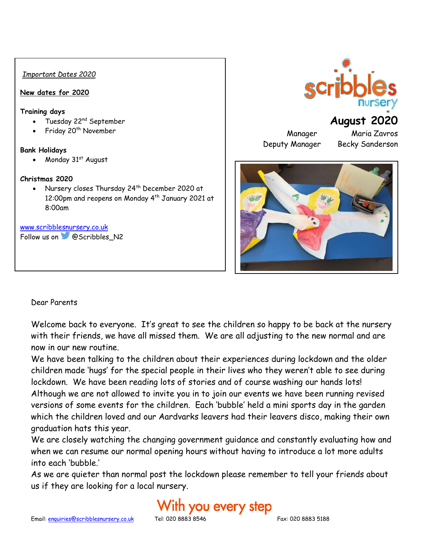#### *Important Dates 2020*

#### **New dates for 2020**

#### **Training days**

- Tuesday 22nd September
- Friday 20<sup>th</sup> November

#### **Bank Holidays**

• Monday  $31<sup>st</sup>$  August

#### **Christmas 2020**

• Nursery closes Thursday 24th December 2020 at 12:00pm and reopens on Monday 4<sup>th</sup> January 2021 at 8:00am

#### [www.scribblesnursery.co.uk](http://www.scribblesnursery.co.uk/)

Follow us on **@Scribbles** N2

## **August 2020**

Deputy Manager Becky Sanderson

Manager Maria Zavros



#### Dear Parents

Welcome back to everyone. It's great to see the children so happy to be back at the nursery with their friends, we have all missed them. We are all adjusting to the new normal and are now in our new routine.

We have been talking to the children about their experiences during lockdown and the older children made 'hugs' for the special people in their lives who they weren't able to see during lockdown. We have been reading lots of stories and of course washing our hands lots! Although we are not allowed to invite you in to join our events we have been running revised versions of some events for the children. Each 'bubble' held a mini sports day in the garden which the children loved and our Aardvarks leavers had their leavers disco, making their own graduation hats this year.

We are closely watching the changing government guidance and constantly evaluating how and when we can resume our normal opening hours without having to introduce a lot more adults into each 'bubble.'

As we are quieter than normal post the lockdown please remember to tell your friends about us if they are looking for a local nursery.

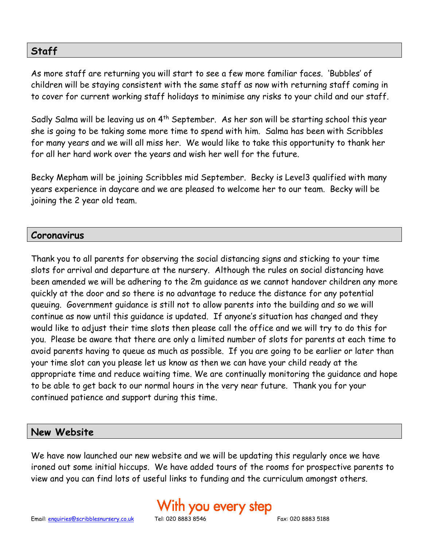## **Staff**

As more staff are returning you will start to see a few more familiar faces. 'Bubbles' of children will be staying consistent with the same staff as now with returning staff coming in to cover for current working staff holidays to minimise any risks to your child and our staff.

Sadly Salma will be leaving us on  $4<sup>th</sup>$  September. As her son will be starting school this year she is going to be taking some more time to spend with him. Salma has been with Scribbles for many years and we will all miss her. We would like to take this opportunity to thank her for all her hard work over the years and wish her well for the future.

Becky Mepham will be joining Scribbles mid September. Becky is Level3 qualified with many years experience in daycare and we are pleased to welcome her to our team. Becky will be joining the 2 year old team.

## **Coronavirus**

Thank you to all parents for observing the social distancing signs and sticking to your time slots for arrival and departure at the nursery. Although the rules on social distancing have been amended we will be adhering to the 2m guidance as we cannot handover children any more quickly at the door and so there is no advantage to reduce the distance for any potential queuing. Government guidance is still not to allow parents into the building and so we will continue as now until this guidance is updated. If anyone's situation has changed and they would like to adjust their time slots then please call the office and we will try to do this for you. Please be aware that there are only a limited number of slots for parents at each time to avoid parents having to queue as much as possible. If you are going to be earlier or later than your time slot can you please let us know as then we can have your child ready at the appropriate time and reduce waiting time. We are continually monitoring the guidance and hope to be able to get back to our normal hours in the very near future. Thank you for your continued patience and support during this time.

## **New Website**

We have now launched our new website and we will be updating this regularly once we have ironed out some initial hiccups. We have added tours of the rooms for prospective parents to view and you can find lots of useful links to funding and the curriculum amongst others.

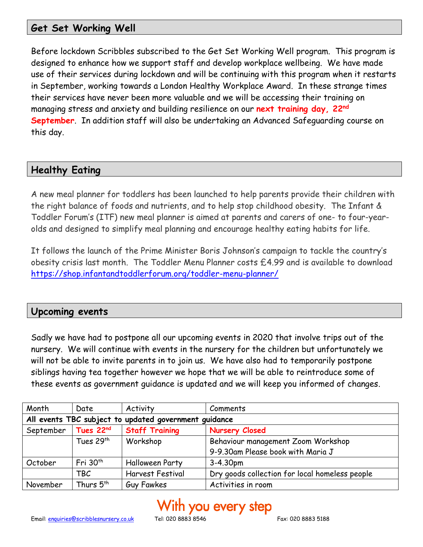## **Get Set Working Well**

Before lockdown Scribbles subscribed to the Get Set Working Well program. This program is designed to enhance how we support staff and develop workplace wellbeing. We have made use of their services during lockdown and will be continuing with this program when it restarts in September, working towards a London Healthy Workplace Award. In these strange times their services have never been more valuable and we will be accessing their training on managing stress and anxiety and building resilience on our **next training day, 22nd September**. In addition staff will also be undertaking an Advanced Safeguarding course on this day.

## **Healthy Eating**

A new meal planner for toddlers has been launched to help parents provide their children with the right balance of foods and nutrients, and to help stop childhood obesity. The Infant & Toddler Forum's (ITF) new meal planner is aimed at parents and carers of one- to four-yearolds and designed to simplify meal planning and encourage healthy eating habits for life.

It follows the launch of the Prime Minister Boris Johnson's campaign to tackle the country's obesity crisis last month. The Toddler Menu Planner costs £4.99 and is available to download <https://shop.infantandtoddlerforum.org/toddler-menu-planner/>

## **Upcoming events**

Sadly we have had to postpone all our upcoming events in 2020 that involve trips out of the nursery. We will continue with events in the nursery for the children but unfortunately we will not be able to invite parents in to join us. We have also had to temporarily postpone siblings having tea together however we hope that we will be able to reintroduce some of these events as government guidance is updated and we will keep you informed of changes.

| Month                                                 | Date                  | Activity               | Comments                                       |  |
|-------------------------------------------------------|-----------------------|------------------------|------------------------------------------------|--|
| All events TBC subject to updated government guidance |                       |                        |                                                |  |
| September                                             | Tues 22 <sup>nd</sup> | <b>Staff Training</b>  | <b>Nursery Closed</b>                          |  |
|                                                       | Tues 29 <sup>th</sup> | Workshop               | Behaviour management Zoom Workshop             |  |
|                                                       |                       |                        | 9-9.30am Please book with Maria J              |  |
| October                                               | Fri $30th$            | <b>Halloween Party</b> | 3-4.30pm                                       |  |
|                                                       | TBC                   | Harvest Festival       | Dry goods collection for local homeless people |  |
| November                                              | Thurs 5 <sup>th</sup> | Guy Fawkes             | Activities in room                             |  |

# With you every step